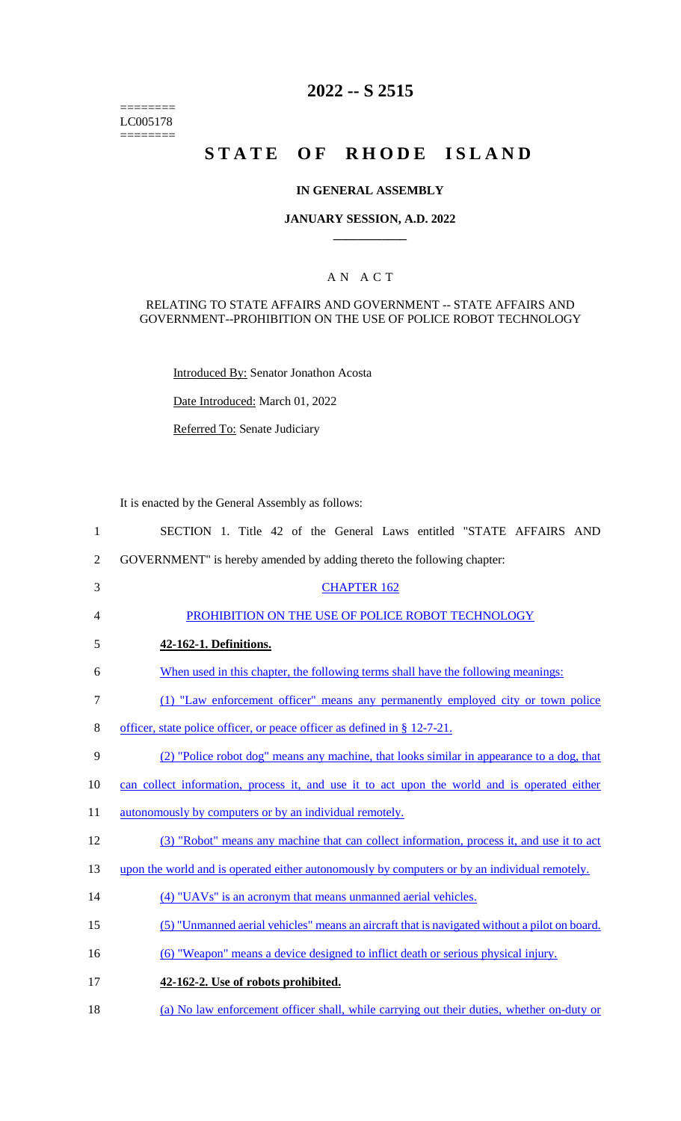======== LC005178  $=$ 

## **2022 -- S 2515**

# **STATE OF RHODE ISLAND**

#### **IN GENERAL ASSEMBLY**

#### **JANUARY SESSION, A.D. 2022 \_\_\_\_\_\_\_\_\_\_\_\_**

## A N A C T

#### RELATING TO STATE AFFAIRS AND GOVERNMENT -- STATE AFFAIRS AND GOVERNMENT--PROHIBITION ON THE USE OF POLICE ROBOT TECHNOLOGY

Introduced By: Senator Jonathon Acosta

Date Introduced: March 01, 2022

Referred To: Senate Judiciary

It is enacted by the General Assembly as follows:

| $\mathbf{1}$   | SECTION 1. Title 42 of the General Laws entitled "STATE AFFAIRS AND                           |
|----------------|-----------------------------------------------------------------------------------------------|
| $\overline{2}$ | GOVERNMENT" is hereby amended by adding thereto the following chapter:                        |
| 3              | <b>CHAPTER 162</b>                                                                            |
| $\overline{4}$ | PROHIBITION ON THE USE OF POLICE ROBOT TECHNOLOGY                                             |
| 5              | 42-162-1. Definitions.                                                                        |
| 6              | When used in this chapter, the following terms shall have the following meanings:             |
| $\overline{7}$ | (1) "Law enforcement officer" means any permanently employed city or town police              |
| $8\,$          | officer, state police officer, or peace officer as defined in $\S 12-7-21$ .                  |
| 9              | (2) "Police robot dog" means any machine, that looks similar in appearance to a dog, that     |
| 10             | can collect information, process it, and use it to act upon the world and is operated either  |
| 11             | autonomously by computers or by an individual remotely.                                       |
| 12             | (3) "Robot" means any machine that can collect information, process it, and use it to act     |
| 13             | upon the world and is operated either autonomously by computers or by an individual remotely. |
| 14             | (4) "UAVs" is an acronym that means unmanned aerial vehicles.                                 |
| 15             | (5) "Unmanned aerial vehicles" means an aircraft that is navigated without a pilot on board.  |
| 16             | (6) "Weapon" means a device designed to inflict death or serious physical injury.             |
| 17             | 42-162-2. Use of robots prohibited.                                                           |
| 18             | (a) No law enforcement officer shall, while carrying out their duties, whether on-duty or     |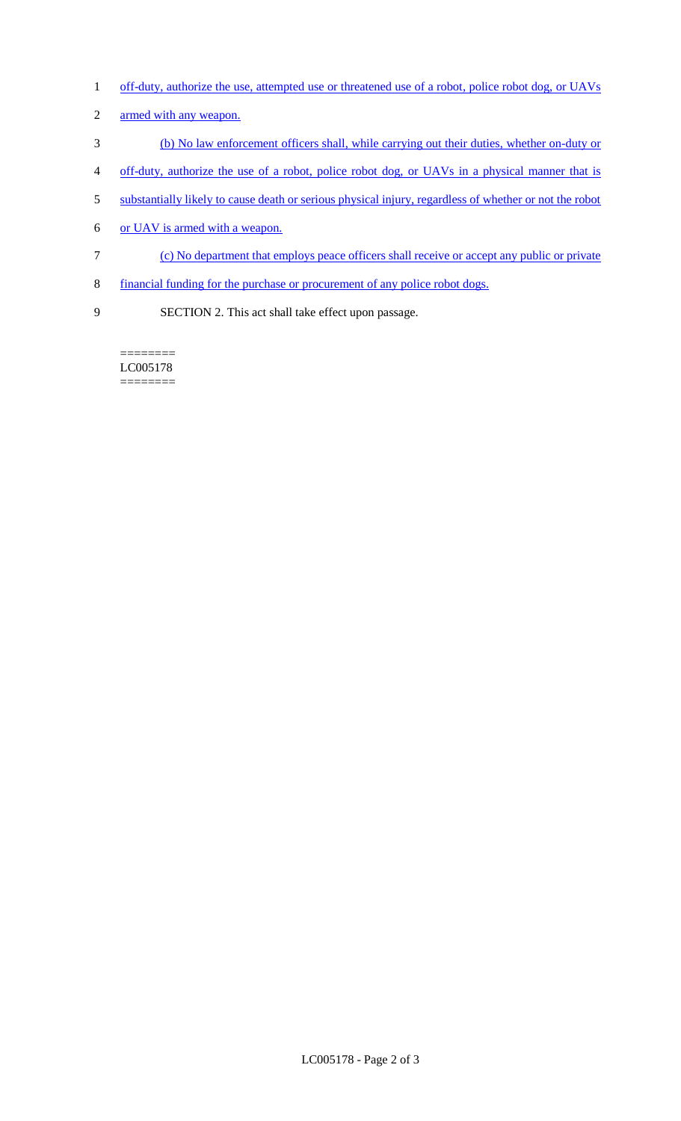- 1 off-duty, authorize the use, attempted use or threatened use of a robot, police robot dog, or UAVs
- armed with any weapon.
- (b) No law enforcement officers shall, while carrying out their duties, whether on-duty or
- off-duty, authorize the use of a robot, police robot dog, or UAVs in a physical manner that is
- substantially likely to cause death or serious physical injury, regardless of whether or not the robot
- or UAV is armed with a weapon.
- (c) No department that employs peace officers shall receive or accept any public or private
- financial funding for the purchase or procurement of any police robot dogs.
- SECTION 2. This act shall take effect upon passage.

======== LC005178 ========